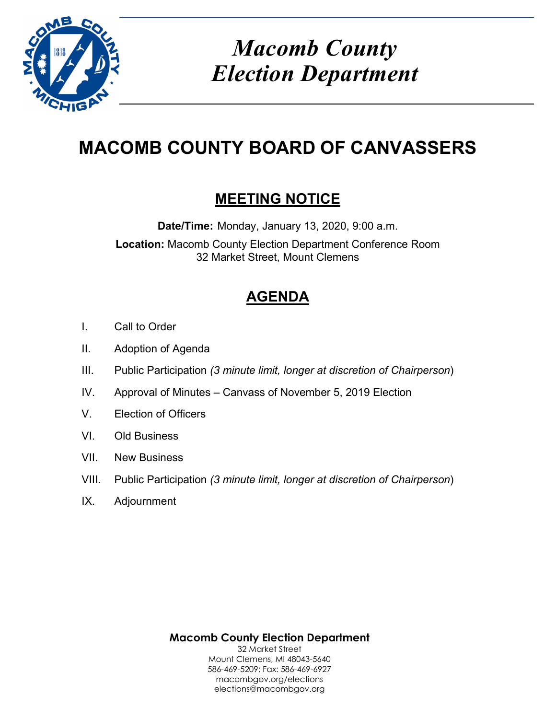

*Macomb County Election Department*

# **MACOMB COUNTY BOARD OF CANVASSERS**

# **MEETING NOTICE**

**Date/Time:** Monday, January 13, 2020, 9:00 a.m. **Location:** Macomb County Election Department Conference Room 32 Market Street, Mount Clemens

# **AGENDA**

- I. Call to Order
- II. Adoption of Agenda
- III. Public Participation *(3 minute limit, longer at discretion of Chairperson*)
- IV. Approval of Minutes Canvass of November 5, 2019 Election
- V. Election of Officers
- VI. Old Business
- VII. New Business
- VIII. Public Participation *(3 minute limit, longer at discretion of Chairperson*)
- IX. Adjournment

**Macomb County Election Department** 32 Market Street Mount Clemens, MI 48043-5640 586-469-5209; Fax: 586-469-6927 macombgov.org/elections elections@macombgov.org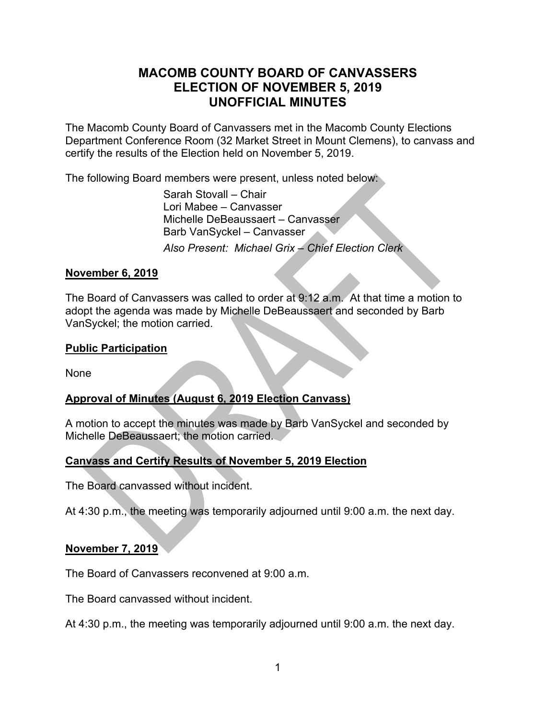# **MACOMB COUNTY BOARD OF CANVASSERS ELECTION OF NOVEMBER 5, 2019 UNOFFICIAL MINUTES**

The Macomb County Board of Canvassers met in the Macomb County Elections Department Conference Room (32 Market Street in Mount Clemens), to canvass and certify the results of the Election held on November 5, 2019.

The following Board members were present, unless noted below:

 Sarah Stovall – Chair Lori Mabee – Canvasser Michelle DeBeaussaert – Canvasser Barb VanSyckel – Canvasser *Also Present: Michael Grix – Chief Election Clerk* 

#### **November 6, 2019**

The Board of Canvassers was called to order at 9:12 a.m. At that time a motion to adopt the agenda was made by Michelle DeBeaussaert and seconded by Barb VanSyckel; the motion carried.

#### **Public Participation**

None

### **Approval of Minutes (August 6, 2019 Election Canvass)**

A motion to accept the minutes was made by Barb VanSyckel and seconded by Michelle DeBeaussaert; the motion carried.

### **Canvass and Certify Results of November 5, 2019 Election**

The Board canvassed without incident.

At 4:30 p.m., the meeting was temporarily adjourned until 9:00 a.m. the next day.

#### **November 7, 2019**

The Board of Canvassers reconvened at 9:00 a.m.

The Board canvassed without incident.

At 4:30 p.m., the meeting was temporarily adjourned until 9:00 a.m. the next day.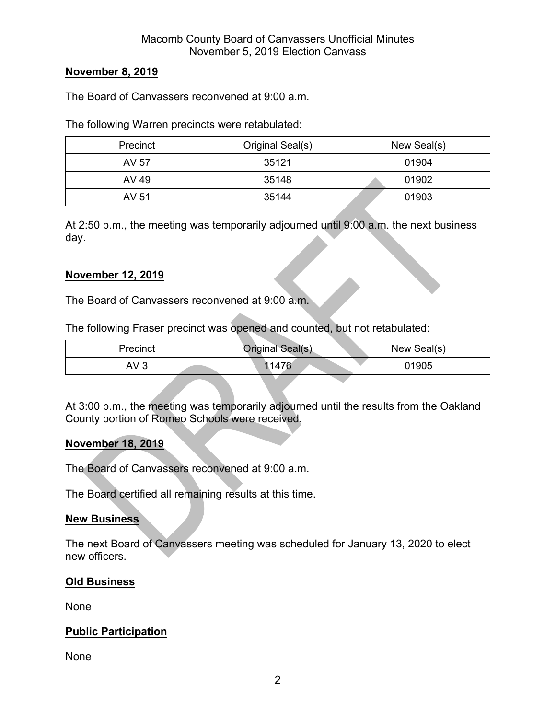#### **November 8, 2019**

The Board of Canvassers reconvened at 9:00 a.m.

The following Warren precincts were retabulated:

| Precinct | Original Seal(s) | New Seal(s) |
|----------|------------------|-------------|
| AV 57    | 35121            | 01904       |
| AV 49    | 35148            | 01902       |
| AV 51    | 35144            | 01903       |

At 2:50 p.m., the meeting was temporarily adjourned until 9:00 a.m. the next business day.

#### **November 12, 2019**

The Board of Canvassers reconvened at 9:00 a.m.

The following Fraser precinct was opened and counted, but not retabulated:

| Precinct        | Original Seal(s) | New Seal(s) |
|-----------------|------------------|-------------|
| AV <sub>3</sub> | 1476ء            | 01905       |

At 3:00 p.m., the meeting was temporarily adjourned until the results from the Oakland County portion of Romeo Schools were received.

#### **November 18, 2019**

The Board of Canvassers reconvened at 9:00 a.m.

The Board certified all remaining results at this time.

#### **New Business**

The next Board of Canvassers meeting was scheduled for January 13, 2020 to elect new officers.

#### **Old Business**

None

#### **Public Participation**

None